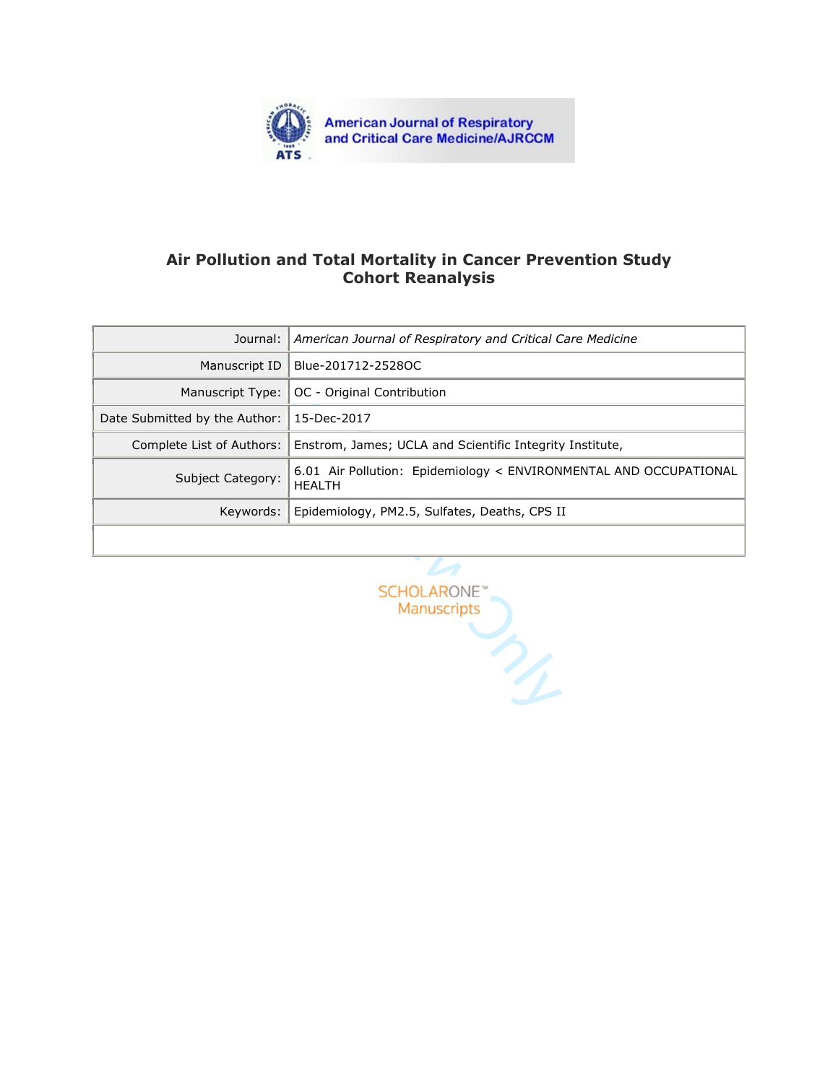

# **Air Pollution and Total Mortality in Cancer Prevention Study Cohort Reanalysis**

| Journal:                         | American Journal of Respiratory and Critical Care Medicine                         |  |  |  |  |
|----------------------------------|------------------------------------------------------------------------------------|--|--|--|--|
| Manuscript ID                    | Blue-201712-2528OC                                                                 |  |  |  |  |
| Manuscript Type:                 | OC - Original Contribution                                                         |  |  |  |  |
| Date Submitted by the Author:    | 15-Dec-2017                                                                        |  |  |  |  |
| Complete List of Authors:        | Enstrom, James; UCLA and Scientific Integrity Institute,                           |  |  |  |  |
| Subject Category:                | 6.01 Air Pollution: Epidemiology < ENVIRONMENTAL AND OCCUPATIONAL<br><b>HEALTH</b> |  |  |  |  |
| Keywords:                        | Epidemiology, PM2.5, Sulfates, Deaths, CPS II                                      |  |  |  |  |
|                                  |                                                                                    |  |  |  |  |
| <b>SCHOLARONE</b><br>Manuscripts |                                                                                    |  |  |  |  |
|                                  |                                                                                    |  |  |  |  |

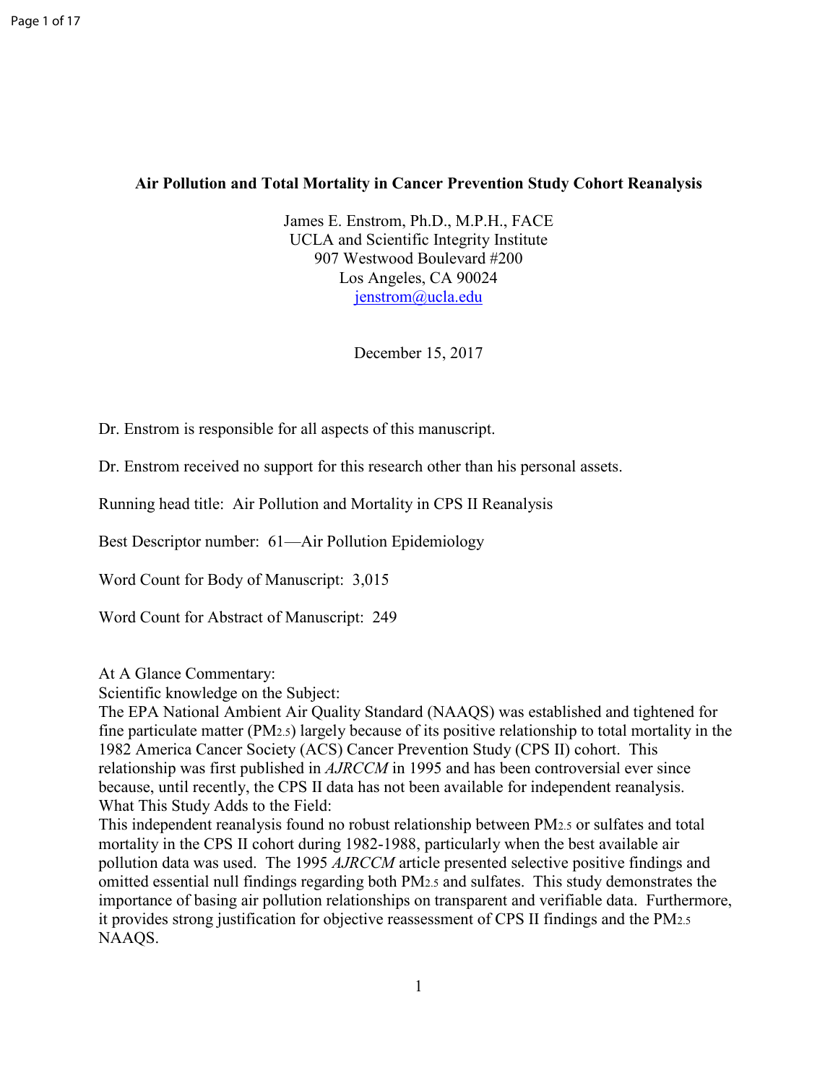## **Air Pollution and Total Mortality in Cancer Prevention Study Cohort Reanalysis**

James E. Enstrom, Ph.D., M.P.H., FACE UCLA and Scientific Integrity Institute 907 Westwood Boulevard #200 Los Angeles, CA 90024 jenstrom@ucla.edu

December 15, 2017

Dr. Enstrom is responsible for all aspects of this manuscript.

Dr. Enstrom received no support for this research other than his personal assets.

Running head title: Air Pollution and Mortality in CPS II Reanalysis

Best Descriptor number: 61—Air Pollution Epidemiology

Word Count for Body of Manuscript: 3,015

Word Count for Abstract of Manuscript: 249

At A Glance Commentary:

Scientific knowledge on the Subject:

December 15, 2017<br>
e for all aspects of this manuscript.<br>
support for this research other than his person<br>
ollution and Mortality in CPS II Reanalysis<br>
61—Air Pollution Epidemiology<br>
Manuscript: 3,015<br>
of Manuscript: 249<br> The EPA National Ambient Air Quality Standard (NAAQS) was established and tightened for fine particulate matter (PM2.5) largely because of its positive relationship to total mortality in the 1982 America Cancer Society (ACS) Cancer Prevention Study (CPS II) cohort. This relationship was first published in *AJRCCM* in 1995 and has been controversial ever since because, until recently, the CPS II data has not been available for independent reanalysis. What This Study Adds to the Field:

This independent reanalysis found no robust relationship between PM2.5 or sulfates and total mortality in the CPS II cohort during 1982-1988, particularly when the best available air pollution data was used. The 1995 *AJRCCM* article presented selective positive findings and omitted essential null findings regarding both PM2.5 and sulfates. This study demonstrates the importance of basing air pollution relationships on transparent and verifiable data. Furthermore, it provides strong justification for objective reassessment of CPS II findings and the PM2.5 NAAQS.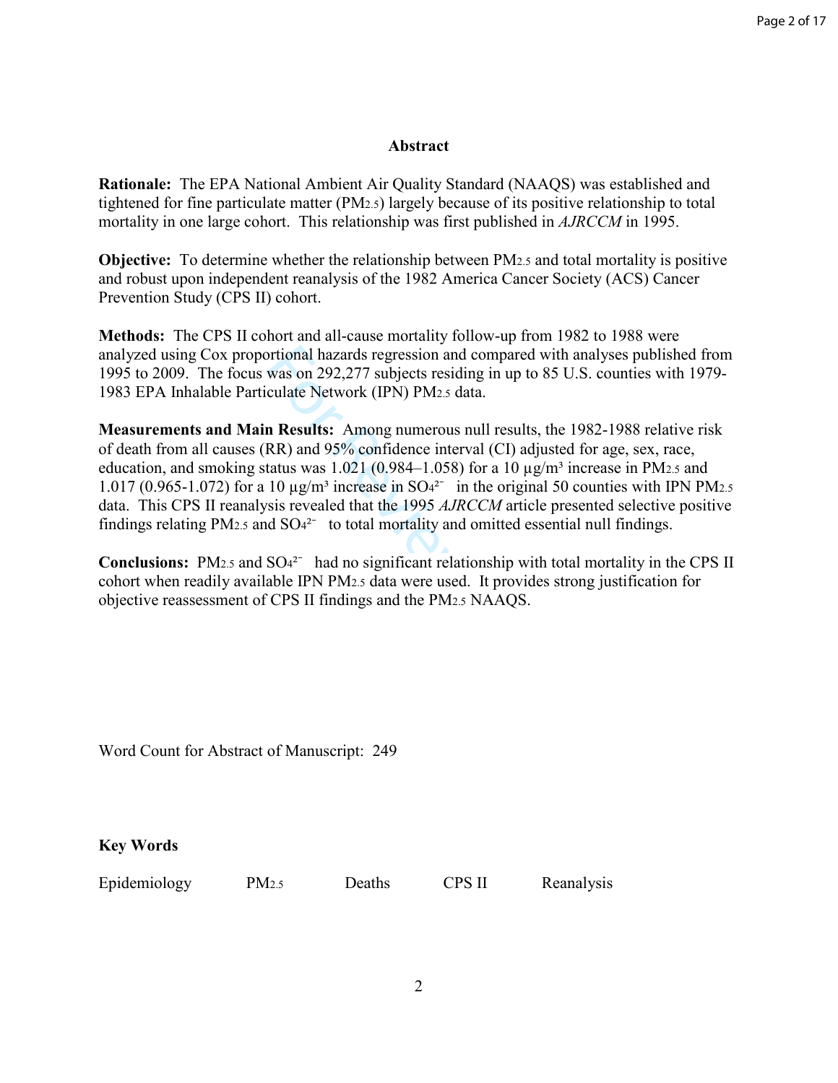### **Abstract**

**Rationale:** The EPA National Ambient Air Quality Standard (NAAQS) was established and tightened for fine particulate matter (PM2.5) largely because of its positive relationship to total mortality in one large cohort. This relationship was first published in *AJRCCM* in 1995.

**Objective:** To determine whether the relationship between PM2.5 and total mortality is positive and robust upon independent reanalysis of the 1982 America Cancer Society (ACS) Cancer Prevention Study (CPS II) cohort.

**Methods:** The CPS II cohort and all-cause mortality follow-up from 1982 to 1988 were analyzed using Cox proportional hazards regression and compared with analyses published from 1995 to 2009. The focus was on 292,277 subjects residing in up to 85 U.S. counties with 1979- 1983 EPA Inhalable Particulate Network (IPN) PM2.5 data.

ortional hazards regression and compared with<br>was on 292,277 subjects residing in up to 85<br>culate Network (IPN) PM<sub>2.5</sub> data.<br>**n Results:** Among numerous null results, the<br>RR) and 95% confidence interval (CI) adjuste<br>tatu **Measurements and Main Results:** Among numerous null results, the 1982-1988 relative risk of death from all causes (RR) and 95% confidence interval (CI) adjusted for age, sex, race, education, and smoking status was 1.021 (0.984–1.058) for a 10  $\mu$ g/m<sup>3</sup> increase in PM<sub>2.5</sub> and 1.017 (0.965-1.072) for a 10  $\mu$ g/m<sup>3</sup> increase in SO<sub>4</sub><sup>2-</sup> in the original 50 counties with IPN PM<sub>2.5</sub> data. This CPS II reanalysis revealed that the 1995 *AJRCCM* article presented selective positive findings relating PM<sub>2.5</sub> and  $SO<sub>4</sub><sup>2</sup>$  to total mortality and omitted essential null findings.

Conclusions: PM<sub>2.5</sub> and SO<sub>4</sub><sup>2-</sup> had no significant relationship with total mortality in the CPS II cohort when readily available IPN PM2.5 data were used. It provides strong justification for objective reassessment of CPS II findings and the PM2.5 NAAQS.

Word Count for Abstract of Manuscript: 249

**Key Words** 

Epidemiology PM2.5 Deaths CPS II Reanalysis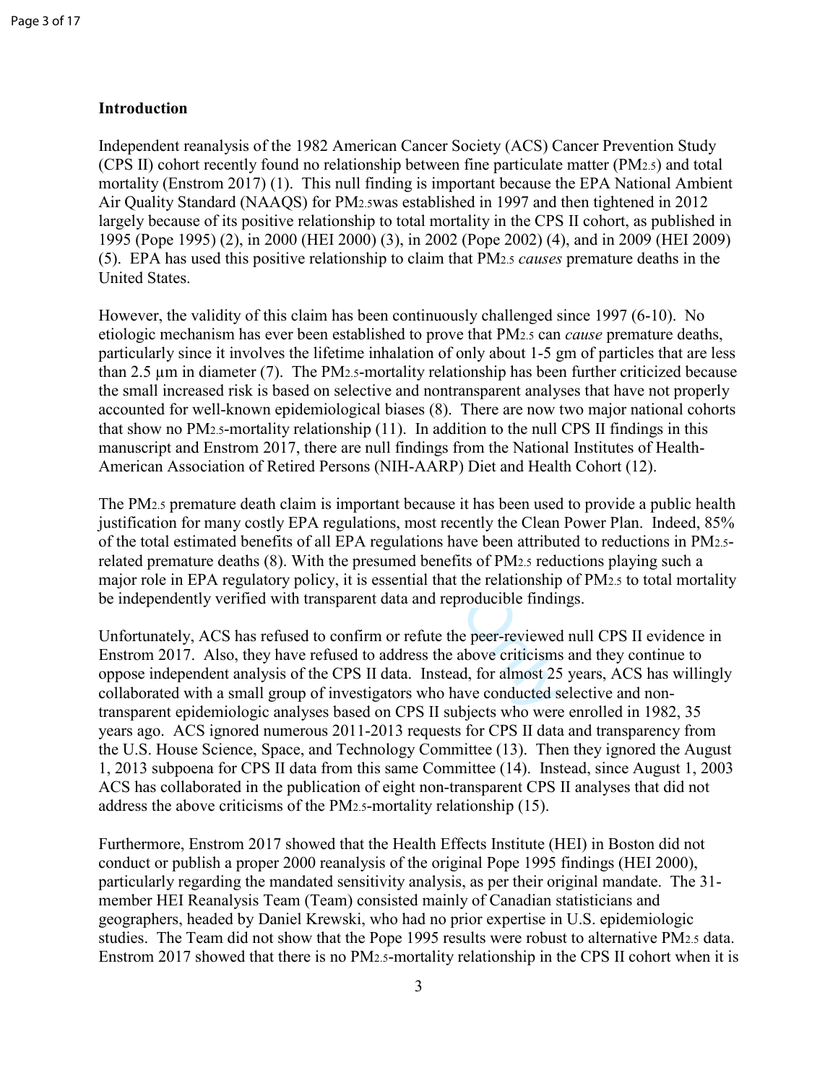## **Introduction**

Independent reanalysis of the 1982 American Cancer Society (ACS) Cancer Prevention Study (CPS II) cohort recently found no relationship between fine particulate matter (PM2.5) and total mortality (Enstrom 2017) (1). This null finding is important because the EPA National Ambient Air Quality Standard (NAAQS) for PM2.5was established in 1997 and then tightened in 2012 largely because of its positive relationship to total mortality in the CPS II cohort, as published in 1995 (Pope 1995) (2), in 2000 (HEI 2000) (3), in 2002 (Pope 2002) (4), and in 2009 (HEI 2009) (5). EPA has used this positive relationship to claim that PM2.5 *causes* premature deaths in the United States.

ves the lifetime inhalation of only about 1-5 g<br>7). The PM<sub>2.5</sub>-mortality relationship has beer<br>based on selective and nontransparent analys<br>n epidemiological biases (8). There are now t<br>lity relationship (11). In additio However, the validity of this claim has been continuously challenged since 1997 (6-10). No etiologic mechanism has ever been established to prove that PM2.5 can *cause* premature deaths, particularly since it involves the lifetime inhalation of only about 1-5 gm of particles that are less than 2.5 µm in diameter (7). The PM2.5-mortality relationship has been further criticized because the small increased risk is based on selective and nontransparent analyses that have not properly accounted for well-known epidemiological biases (8). There are now two major national cohorts that show no PM2.5-mortality relationship (11). In addition to the null CPS II findings in this manuscript and Enstrom 2017, there are null findings from the National Institutes of Health-American Association of Retired Persons (NIH-AARP) Diet and Health Cohort (12).

The PM2.5 premature death claim is important because it has been used to provide a public health justification for many costly EPA regulations, most recently the Clean Power Plan. Indeed, 85% of the total estimated benefits of all EPA regulations have been attributed to reductions in PM2.5 related premature deaths (8). With the presumed benefits of PM2.5 reductions playing such a major role in EPA regulatory policy, it is essential that the relationship of PM2.5 to total mortality be independently verified with transparent data and reproducible findings.

Unfortunately, ACS has refused to confirm or refute the peer-reviewed null CPS II evidence in Enstrom 2017. Also, they have refused to address the above criticisms and they continue to oppose independent analysis of the CPS II data. Instead, for almost 25 years, ACS has willingly collaborated with a small group of investigators who have conducted selective and nontransparent epidemiologic analyses based on CPS II subjects who were enrolled in 1982, 35 years ago. ACS ignored numerous 2011-2013 requests for CPS II data and transparency from the U.S. House Science, Space, and Technology Committee (13). Then they ignored the August 1, 2013 subpoena for CPS II data from this same Committee (14). Instead, since August 1, 2003 ACS has collaborated in the publication of eight non-transparent CPS II analyses that did not address the above criticisms of the PM2.5-mortality relationship (15).

Furthermore, Enstrom 2017 showed that the Health Effects Institute (HEI) in Boston did not conduct or publish a proper 2000 reanalysis of the original Pope 1995 findings (HEI 2000), particularly regarding the mandated sensitivity analysis, as per their original mandate. The 31 member HEI Reanalysis Team (Team) consisted mainly of Canadian statisticians and geographers, headed by Daniel Krewski, who had no prior expertise in U.S. epidemiologic studies. The Team did not show that the Pope 1995 results were robust to alternative PM2.5 data. Enstrom 2017 showed that there is no PM2.5-mortality relationship in the CPS II cohort when it is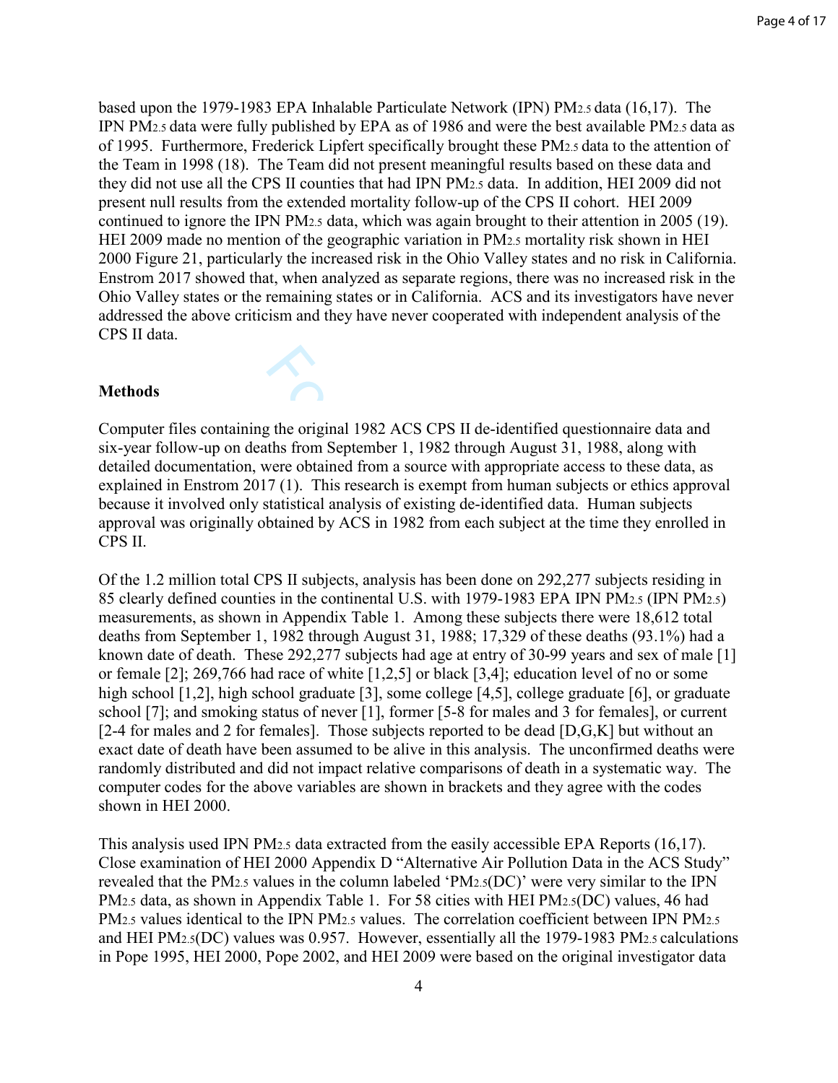based upon the 1979-1983 EPA Inhalable Particulate Network (IPN) PM2.5 data (16,17). The IPN PM2.5 data were fully published by EPA as of 1986 and were the best available PM2.5 data as of 1995. Furthermore, Frederick Lipfert specifically brought these PM2.5 data to the attention of the Team in 1998 (18). The Team did not present meaningful results based on these data and they did not use all the CPS II counties that had IPN PM2.5 data. In addition, HEI 2009 did not present null results from the extended mortality follow-up of the CPS II cohort. HEI 2009 continued to ignore the IPN PM2.5 data, which was again brought to their attention in 2005 (19). HEI 2009 made no mention of the geographic variation in PM2.5 mortality risk shown in HEI 2000 Figure 21, particularly the increased risk in the Ohio Valley states and no risk in California. Enstrom 2017 showed that, when analyzed as separate regions, there was no increased risk in the Ohio Valley states or the remaining states or in California. ACS and its investigators have never addressed the above criticism and they have never cooperated with independent analysis of the CPS II data.

### **Methods**

Computer files containing the original 1982 ACS CPS II de-identified questionnaire data and six-year follow-up on deaths from September 1, 1982 through August 31, 1988, along with detailed documentation, were obtained from a source with appropriate access to these data, as explained in Enstrom 2017 (1). This research is exempt from human subjects or ethics approval because it involved only statistical analysis of existing de-identified data. Human subjects approval was originally obtained by ACS in 1982 from each subject at the time they enrolled in CPS II.

the original 1982 ACS CPS II de-identified<br>ths from September 1, 1982 through August :<br>vere obtained from a source with appropriate<br>7 (1). This research is exempt from human s<br>tatistical analysis of existing de-identified Of the 1.2 million total CPS II subjects, analysis has been done on 292,277 subjects residing in 85 clearly defined counties in the continental U.S. with 1979-1983 EPA IPN PM2.5 (IPN PM2.5) measurements, as shown in Appendix Table 1. Among these subjects there were 18,612 total deaths from September 1, 1982 through August 31, 1988; 17,329 of these deaths (93.1%) had a known date of death. These 292,277 subjects had age at entry of 30-99 years and sex of male [1] or female [2]; 269,766 had race of white [1,2,5] or black [3,4]; education level of no or some high school [1,2], high school graduate [3], some college [4,5], college graduate [6], or graduate school [7]; and smoking status of never [1], former [5-8 for males and 3 for females], or current [2-4 for males and 2 for females]. Those subjects reported to be dead [D,G,K] but without an exact date of death have been assumed to be alive in this analysis. The unconfirmed deaths were randomly distributed and did not impact relative comparisons of death in a systematic way. The computer codes for the above variables are shown in brackets and they agree with the codes shown in HEI 2000.

This analysis used IPN PM2.5 data extracted from the easily accessible EPA Reports (16,17). Close examination of HEI 2000 Appendix D "Alternative Air Pollution Data in the ACS Study" revealed that the PM2.5 values in the column labeled 'PM2.5(DC)' were very similar to the IPN PM<sub>2.5</sub> data, as shown in Appendix Table 1. For 58 cities with HEI PM<sub>2.5</sub>(DC) values, 46 had PM<sub>2.5</sub> values identical to the IPN PM<sub>2.5</sub> values. The correlation coefficient between IPN PM<sub>2.5</sub> and HEI PM2.5(DC) values was 0.957. However, essentially all the 1979-1983 PM2.5 calculations in Pope 1995, HEI 2000, Pope 2002, and HEI 2009 were based on the original investigator data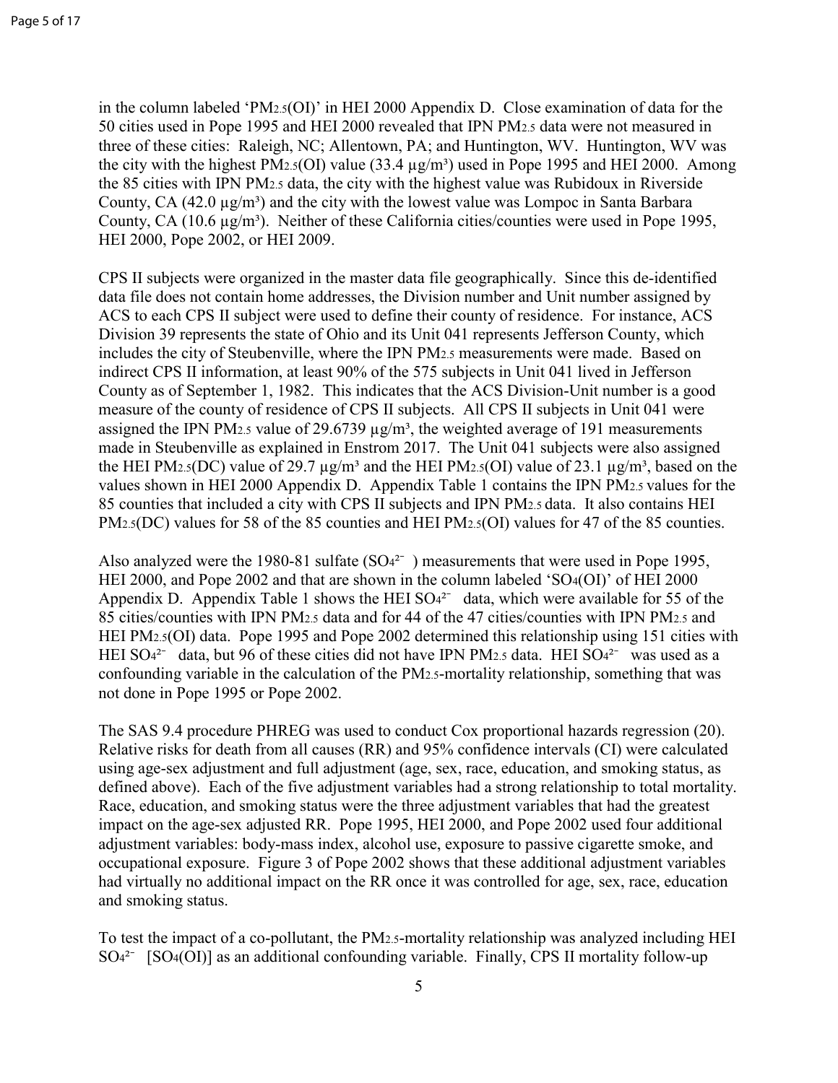in the column labeled 'PM2. $5$ (OI)' in HEI 2000 Appendix D. Close examination of data for the 50 cities used in Pope 1995 and HEI 2000 revealed that IPN PM2.5 data were not measured in three of these cities: Raleigh, NC; Allentown, PA; and Huntington, WV. Huntington, WV was the city with the highest PM<sub>2.5</sub>(OI) value  $(33.4 \mu g/m^3)$  used in Pope 1995 and HEI 2000. Among the 85 cities with IPN PM2.5 data, the city with the highest value was Rubidoux in Riverside County, CA  $(42.0 \mu g/m^3)$  and the city with the lowest value was Lompoc in Santa Barbara County, CA  $(10.6 \,\mu\text{g/m}^3)$ . Neither of these California cities/counties were used in Pope 1995, HEI 2000, Pope 2002, or HEI 2009.

enville, where the IPN PM2.5 measurements v<br>on, at least 90% of the 575 subjects in Unit 04<br>, 1982. This indicates that the ACS Division<br>residence of CPS II subjects. All CPS II subj<br>alue of 29.6739  $\mu g/m^3$ , the weighted CPS II subjects were organized in the master data file geographically. Since this de-identified data file does not contain home addresses, the Division number and Unit number assigned by ACS to each CPS II subject were used to define their county of residence. For instance, ACS Division 39 represents the state of Ohio and its Unit 041 represents Jefferson County, which includes the city of Steubenville, where the IPN PM2.5 measurements were made. Based on indirect CPS II information, at least 90% of the 575 subjects in Unit 041 lived in Jefferson County as of September 1, 1982. This indicates that the ACS Division-Unit number is a good measure of the county of residence of CPS II subjects. All CPS II subjects in Unit 041 were assigned the IPN PM<sub>2.5</sub> value of 29.6739  $\mu$ g/m<sup>3</sup>, the weighted average of 191 measurements made in Steubenville as explained in Enstrom 2017. The Unit 041 subjects were also assigned the HEI PM2.5(DC) value of 29.7  $\mu$ g/m<sup>3</sup> and the HEI PM2.5(OI) value of 23.1  $\mu$ g/m<sup>3</sup>, based on the values shown in HEI 2000 Appendix D. Appendix Table 1 contains the IPN PM2.5 values for the 85 counties that included a city with CPS II subjects and IPN PM2.5 data. It also contains HEI PM<sub>2.5</sub>(DC) values for 58 of the 85 counties and HEI PM<sub>2.5</sub>(OI) values for 47 of the 85 counties.

Also analyzed were the 1980-81 sulfate  $(SO4^{2-})$  measurements that were used in Pope 1995, HEI 2000, and Pope 2002 and that are shown in the column labeled 'SO <sup>4</sup>(OI)' of HEI 2000 Appendix D. Appendix Table 1 shows the HEI  $SO<sub>4</sub><sup>2</sup>$  data, which were available for 55 of the 85 cities/counties with IPN PM2.5 data and for 44 of the 47 cities/counties with IPN PM2.5 and HEI PM2.5(OI) data. Pope 1995 and Pope 2002 determined this relationship using 151 cities with HEI SO<sup>42-</sup> data, but 96 of these cities did not have IPN PM2.5 data. HEI SO<sup>42-</sup> was used as a confounding variable in the calculation of the PM2.5-mortality relationship, something that was not done in Pope 1995 or Pope 2002.

The SAS 9.4 procedure PHREG was used to conduct Cox proportional hazards regression (20). Relative risks for death from all causes (RR) and 95% confidence intervals (CI) were calculated using age-sex adjustment and full adjustment (age, sex, race, education, and smoking status, as defined above). Each of the five adjustment variables had a strong relationship to total mortality. Race, education, and smoking status were the three adjustment variables that had the greatest impact on the age-sex adjusted RR. Pope 1995, HEI 2000, and Pope 2002 used four additional adjustment variables: body-mass index, alcohol use, exposure to passive cigarette smoke, and occupational exposure. Figure 3 of Pope 2002 shows that these additional adjustment variables had virtually no additional impact on the RR once it was controlled for age, sex, race, education and smoking status.

To test the impact of a co-pollutant, the PM2.5-mortality relationship was analyzed including HEI SO<sup>42-</sup> [SO4(OI)] as an additional confounding variable. Finally, CPS II mortality follow-up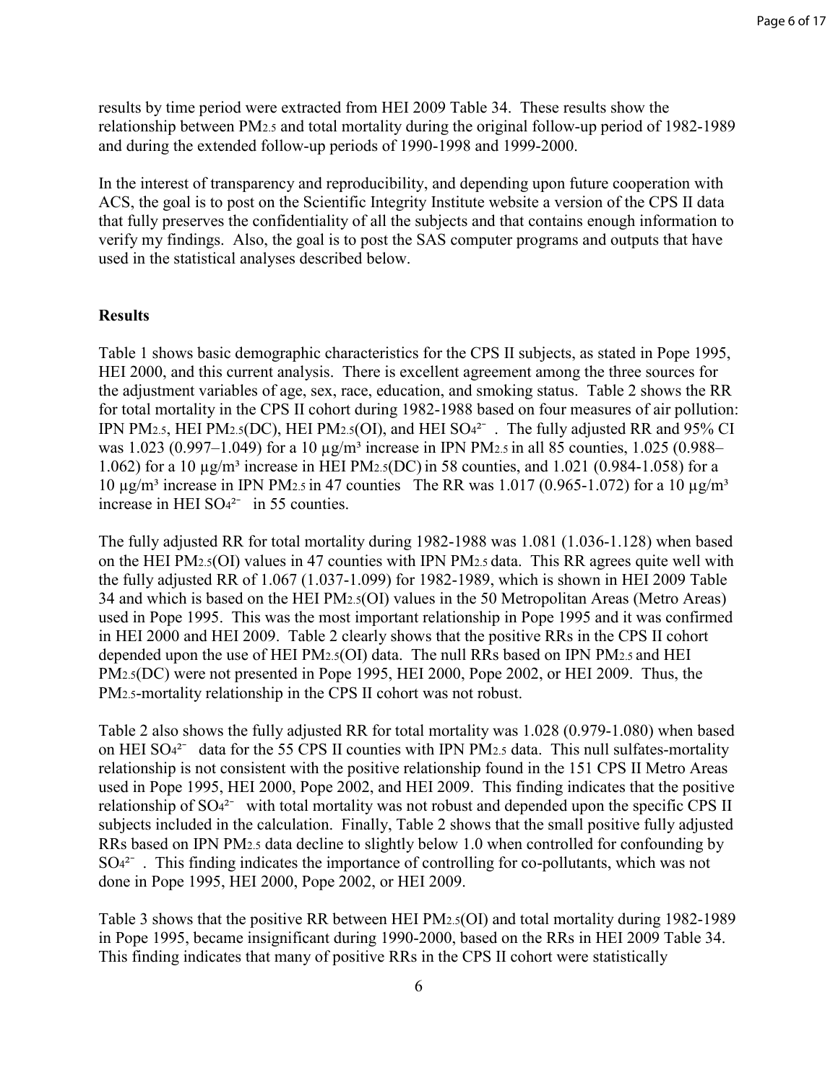results by time period were extracted from HEI 2009 Table 34. These results show the relationship between PM2.5 and total mortality during the original follow-up period of 1982-1989 and during the extended follow-up periods of 1990-1998 and 1999-2000.

In the interest of transparency and reproducibility, and depending upon future cooperation with ACS, the goal is to post on the Scientific Integrity Institute website a version of the CPS II data that fully preserves the confidentiality of all the subjects and that contains enough information to verify my findings. Also, the goal is to post the SAS computer programs and outputs that have used in the statistical analyses described below.

## **Results**

by applie characteristics for the CPS II subject<br>t analysis. There is excellent agreement amo<br>of age, sex, race, education, and smoking statt<br>CPS II cohort during 1982-1988 based on four<br>CPS II cohort during 1982-1988 bas Table 1 shows basic demographic characteristics for the CPS II subjects, as stated in Pope 1995, HEI 2000, and this current analysis. There is excellent agreement among the three sources for the adjustment variables of age, sex, race, education, and smoking status. Table 2 shows the RR for total mortality in the CPS II cohort during 1982-1988 based on four measures of air pollution: IPN PM<sub>2.5</sub>, HEI PM<sub>2.5</sub>(DC), HEI PM<sub>2.5</sub>(OI), and HEI SO<sup>42-</sup>. The fully adjusted RR and 95% CI was 1.023 (0.997–1.049) for a 10  $\mu$ g/m<sup>3</sup> increase in IPN PM<sub>2.5</sub> in all 85 counties, 1.025 (0.988– 1.062) for a 10  $\mu$ g/m<sup>3</sup> increase in HEI PM<sub>2.5</sub>(DC) in 58 counties, and 1.021 (0.984-1.058) for a 10  $\mu$ g/m<sup>3</sup> increase in IPN PM<sub>2.5</sub> in 47 counties The RR was 1.017 (0.965-1.072) for a 10  $\mu$ g/m<sup>3</sup> increase in HEI  $SO<sub>4</sub><sup>2</sup>$  in 55 counties.

The fully adjusted RR for total mortality during 1982-1988 was 1.081 (1.036-1.128) when based on the HEI PM2.5(OI) values in 47 counties with IPN PM2.5 data. This RR agrees quite well with the fully adjusted RR of 1.067 (1.037-1.099) for 1982-1989, which is shown in HEI 2009 Table 34 and which is based on the HEI PM2.5(OI) values in the 50 Metropolitan Areas (Metro Areas) used in Pope 1995. This was the most important relationship in Pope 1995 and it was confirmed in HEI 2000 and HEI 2009. Table 2 clearly shows that the positive RRs in the CPS II cohort depended upon the use of HEI PM2.5(OI) data. The null RRs based on IPN PM2.5 and HEI PM<sub>2.5</sub>(DC) were not presented in Pope 1995, HEI 2000, Pope 2002, or HEI 2009. Thus, the PM2.5-mortality relationship in the CPS II cohort was not robust.

Table 2 also shows the fully adjusted RR for total mortality was 1.028 (0.979-1.080) when based on HEI  $SO_4^2$  data for the 55 CPS II counties with IPN PM2.5 data. This null sulfates-mortality relationship is not consistent with the positive relationship found in the 151 CPS II Metro Areas used in Pope 1995, HEI 2000, Pope 2002, and HEI 2009. This finding indicates that the positive relationship of SO<sub>4</sub><sup>2-</sup> with total mortality was not robust and depended upon the specific CPS II subjects included in the calculation. Finally, Table 2 shows that the small positive fully adjusted RRs based on IPN PM2.5 data decline to slightly below 1.0 when controlled for confounding by SO<sub>4</sub><sup>2-</sup> . This finding indicates the importance of controlling for co-pollutants, which was not done in Pope 1995, HEI 2000, Pope 2002, or HEI 2009.

Table 3 shows that the positive RR between HEI PM2.5(OI) and total mortality during 1982-1989 in Pope 1995, became insignificant during 1990-2000, based on the RRs in HEI 2009 Table 34. This finding indicates that many of positive RRs in the CPS II cohort were statistically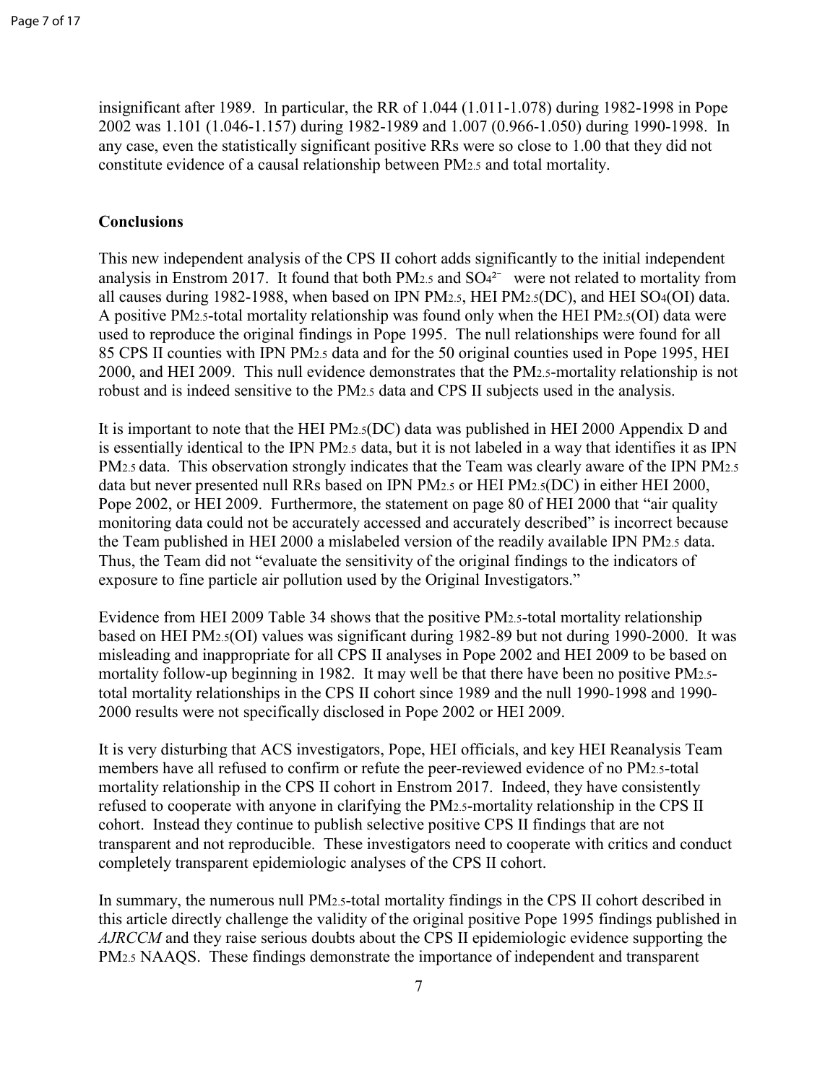insignificant after 1989. In particular, the RR of 1.044 (1.011-1.078) during 1982-1998 in Pope 2002 was 1.101 (1.046-1.157) during 1982-1989 and 1.007 (0.966-1.050) during 1990-1998. In any case, even the statistically significant positive RRs were so close to 1.00 that they did not constitute evidence of a causal relationship between PM2.5 and total mortality.

### **Conclusions**

This new independent analysis of the CPS II cohort adds significantly to the initial independent analysis in Enstrom 2017. It found that both PM<sub>2.5</sub> and  $SO<sub>4</sub><sup>2</sup>$  were not related to mortality from all causes during 1982-1988, when based on IPN PM2.5, HEI PM2.5(DC), and HEI SO4(OI) data. A positive PM2.5-total mortality relationship was found only when the HEI PM2.5(OI) data were used to reproduce the original findings in Pope 1995. The null relationships were found for all 85 CPS II counties with IPN PM2.5 data and for the 50 original counties used in Pope 1995, HEI 2000, and HEI 2009. This null evidence demonstrates that the PM2.5-mortality relationship is not robust and is indeed sensitive to the PM2.5 data and CPS II subjects used in the analysis.

PN PM2.5 data and for the 50 original counties<br>s null evidence demonstrates that the PM2.5-n<br>tive to the PM2.5 data and CPS II subjects use<br>t the HEI PM2.5 data and CPS II subjects use<br>t the HEI PM2.5 data, but it is not It is important to note that the HEI PM2.5(DC) data was published in HEI 2000 Appendix D and is essentially identical to the IPN PM2.5 data, but it is not labeled in a way that identifies it as IPN PM<sub>2.5</sub> data. This observation strongly indicates that the Team was clearly aware of the IPN PM<sub>2.5</sub> data but never presented null RRs based on IPN PM2.5 or HEI PM2.5(DC) in either HEI 2000, Pope 2002, or HEI 2009. Furthermore, the statement on page 80 of HEI 2000 that "air quality monitoring data could not be accurately accessed and accurately described" is incorrect because the Team published in HEI 2000 a mislabeled version of the readily available IPN PM2.5 data. Thus, the Team did not "evaluate the sensitivity of the original findings to the indicators of exposure to fine particle air pollution used by the Original Investigators."

Evidence from HEI 2009 Table 34 shows that the positive PM2.5-total mortality relationship based on HEI PM2.5(OI) values was significant during 1982-89 but not during 1990-2000. It was misleading and inappropriate for all CPS II analyses in Pope 2002 and HEI 2009 to be based on mortality follow-up beginning in 1982. It may well be that there have been no positive PM2.5 total mortality relationships in the CPS II cohort since 1989 and the null 1990-1998 and 1990- 2000 results were not specifically disclosed in Pope 2002 or HEI 2009.

It is very disturbing that ACS investigators, Pope, HEI officials, and key HEI Reanalysis Team members have all refused to confirm or refute the peer-reviewed evidence of no PM2.5-total mortality relationship in the CPS II cohort in Enstrom 2017. Indeed, they have consistently refused to cooperate with anyone in clarifying the PM2.5-mortality relationship in the CPS II cohort. Instead they continue to publish selective positive CPS II findings that are not transparent and not reproducible. These investigators need to cooperate with critics and conduct completely transparent epidemiologic analyses of the CPS II cohort.

In summary, the numerous null PM2.5-total mortality findings in the CPS II cohort described in this article directly challenge the validity of the original positive Pope 1995 findings published in *AJRCCM* and they raise serious doubts about the CPS II epidemiologic evidence supporting the PM2.5 NAAQS. These findings demonstrate the importance of independent and transparent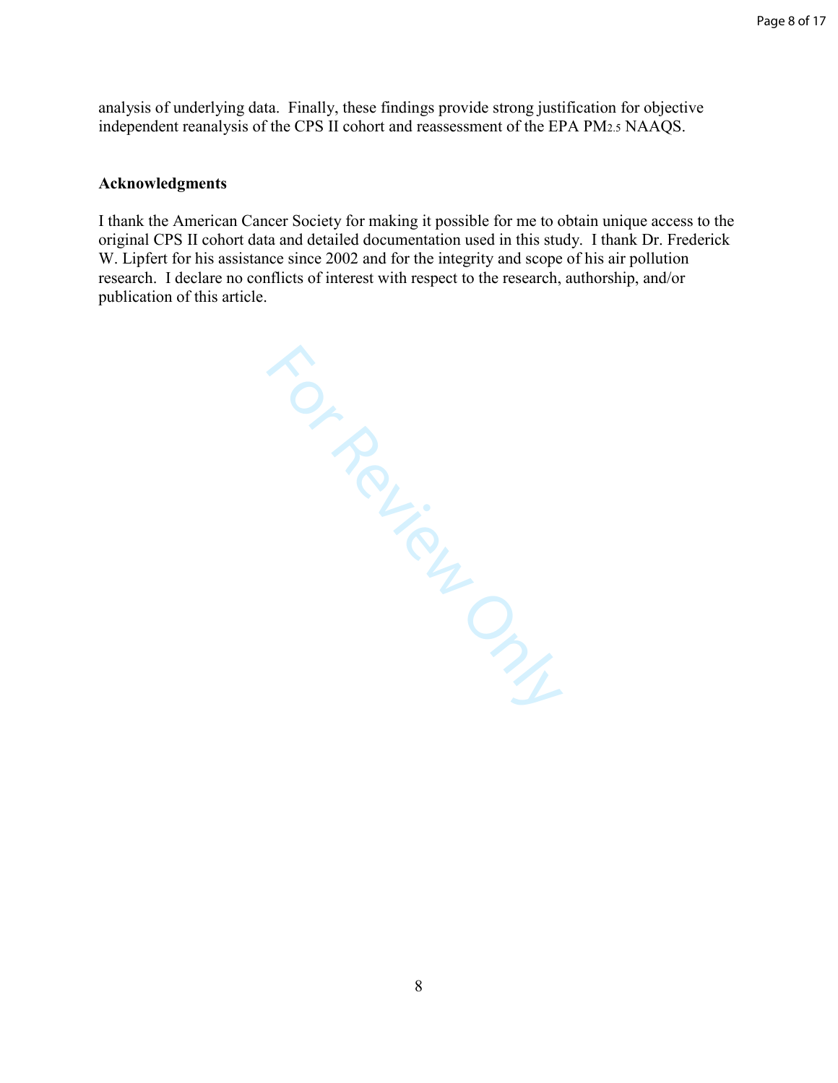analysis of underlying data. Finally, these findings provide strong justification for objective independent reanalysis of the CPS II cohort and reassessment of the EPA PM2.5 NAAQS.

#### **Acknowledgments**

I thank the American Cancer Society for making it possible for me to obtain unique access to the original CPS II cohort data and detailed documentation used in this study. I thank Dr. Frederick W. Lipfert for his assistance since 2002 and for the integrity and scope of his air pollution research. I declare no conflicts of interest with respect to the research, authorship, and/or publication of this article.

Sorrey Only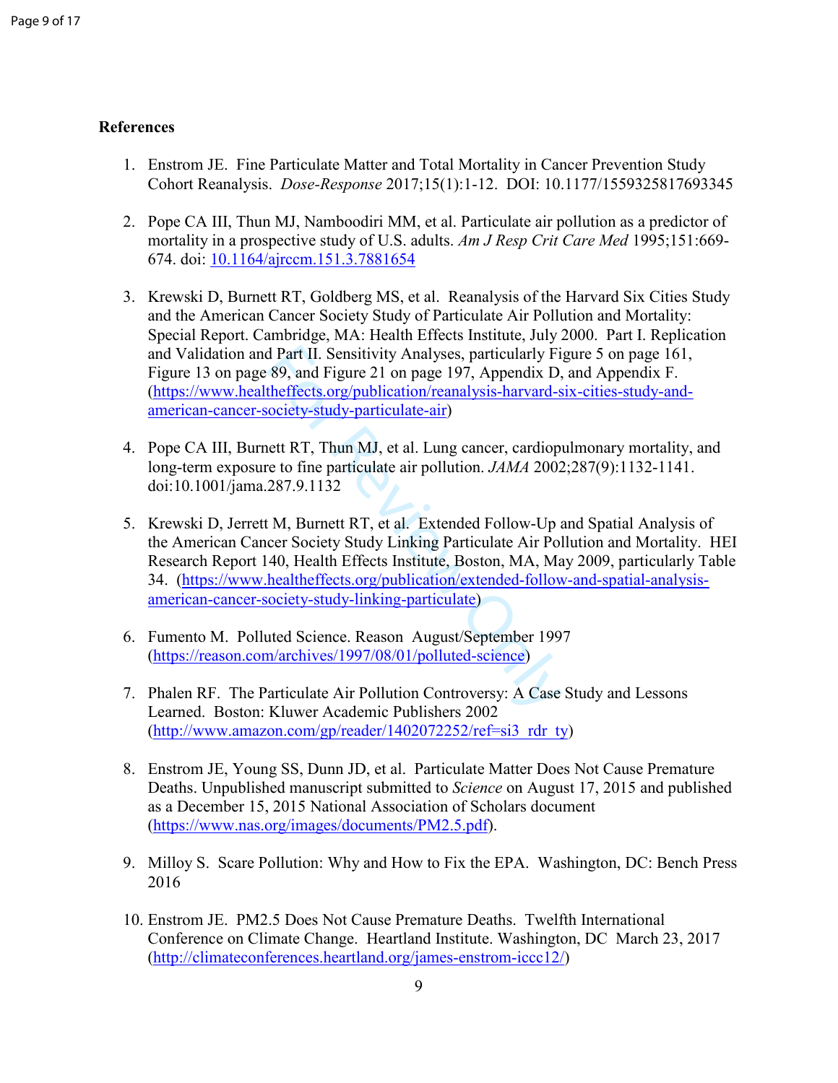### **References**

- 1. Enstrom JE. Fine Particulate Matter and Total Mortality in Cancer Prevention Study Cohort Reanalysis. *Dose-Response* 2017;15(1):1-12. DOI: 10.1177/1559325817693345
- 2. Pope CA III, Thun MJ, Namboodiri MM, et al. Particulate air pollution as a predictor of mortality in a prospective study of U.S. adults. *Am J Resp Crit Care Med* 1995;151:669- 674. doi: 10.1164/ajrccm.151.3.7881654
- 3. Krewski D, Burnett RT, Goldberg MS, et al. Reanalysis of the Harvard Six Cities Study and the American Cancer Society Study of Particulate Air Pollution and Mortality: Special Report. Cambridge, MA: Health Effects Institute, July 2000. Part I. Replication and Validation and Part II. Sensitivity Analyses, particularly Figure 5 on page 161, Figure 13 on page 89, and Figure 21 on page 197, Appendix D, and Appendix F. (https://www.healtheffects.org/publication/reanalysis-harvard-six-cities-study-andamerican-cancer-society-study-particulate-air)
- 4. Pope CA III, Burnett RT, Thun MJ, et al. Lung cancer, cardiopulmonary mortality, and long-term exposure to fine particulate air pollution. *JAMA* 2002;287(9):1132-1141. doi:10.1001/jama.287.9.1132
- d Part II. Sensitivity Analyses, particularly Fi<br>89, and Figure 21 on page 197, Appendix D,<br>theffects.org/publication/reanalysis-harvard-s<br>ociety-study-particulate-air)<br>ett RT, Thun MJ, et al. Lung cancer, cardiop<br>re to fi 5. Krewski D, Jerrett M, Burnett RT, et al. Extended Follow-Up and Spatial Analysis of the American Cancer Society Study Linking Particulate Air Pollution and Mortality. HEI Research Report 140, Health Effects Institute, Boston, MA, May 2009, particularly Table 34. (https://www.healtheffects.org/publication/extended-follow-and-spatial-analysisamerican-cancer-society-study-linking-particulate)
- 6. Fumento M. Polluted Science. Reason August/September 1997 (https://reason.com/archives/1997/08/01/polluted-science)
- 7. Phalen RF. The Particulate Air Pollution Controversy: A Case Study and Lessons Learned. Boston: Kluwer Academic Publishers 2002<br>(http://www.amazon.com/gp/reader/1402072252/ref=si3\_rdr\_ty)
- 8. Enstrom JE, Young SS, Dunn JD, et al. Particulate Matter Does Not Cause Premature Deaths. Unpublished manuscript submitted to *Science* on August 17, 2015 and published as a December 15, 2015 National Association of Scholars document (https://www.nas.org/images/documents/PM2.5.pdf).
- 9. Milloy S. Scare Pollution: Why and How to Fix the EPA. Washington, DC: Bench Press 2016
- 10. Enstrom JE. PM2.5 Does Not Cause Premature Deaths. Twelfth International Conference on Climate Change. Heartland Institute. Washington, DC March 23, 2017 (http://climateconferences.heartland.org/james-enstrom-iccc12/)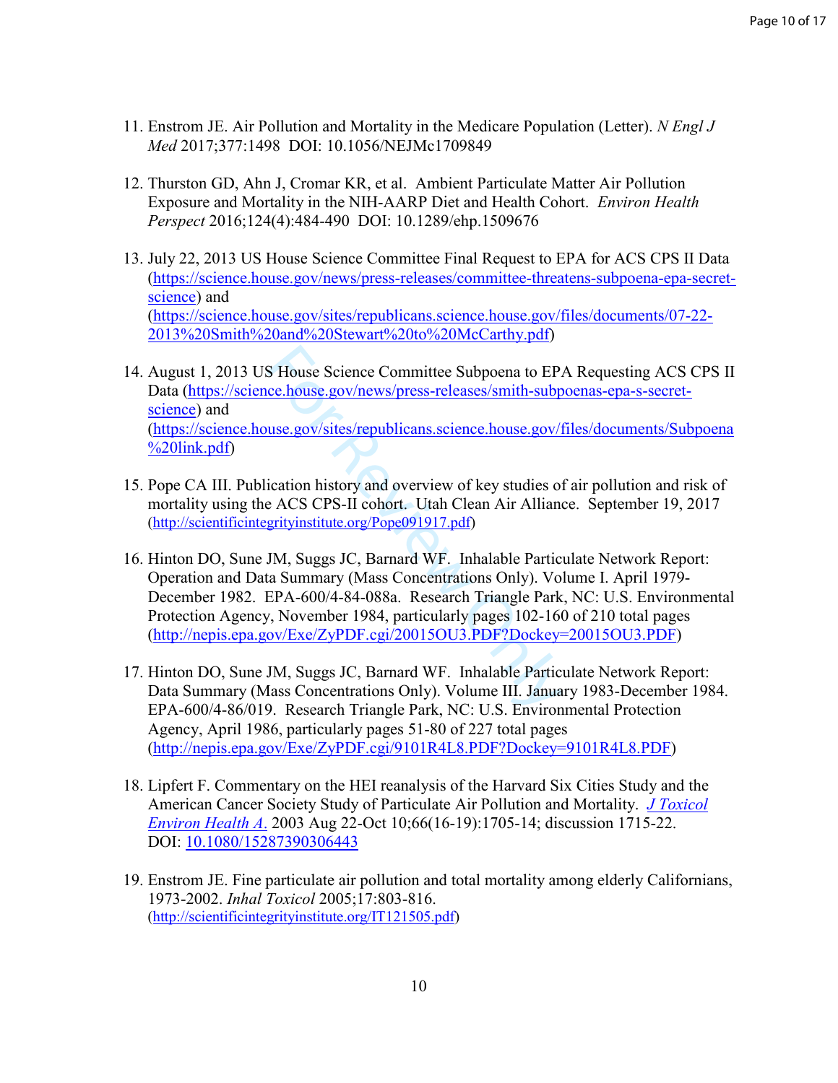- 11. Enstrom JE. Air Pollution and Mortality in the Medicare Population (Letter). *N Engl J Med* 2017;377:1498 DOI: 10.1056/NEJMc1709849
- 12. Thurston GD, Ahn J, Cromar KR, et al. Ambient Particulate Matter Air Pollution Exposure and Mortality in the NIH-AARP Diet and Health Cohort. *Environ Health Perspect* 2016;124(4):484-490 DOI: 10.1289/ehp.1509676
- 13. July 22, 2013 US House Science Committee Final Request to EPA for ACS CPS II Data (https://science.house.gov/news/press-releases/committee-threatens-subpoena-epa-secretscience) and<br>(https://science.house.gov/sites/republicans.science.house.gov/files/documents/07-22-2013%20Smith%20and%20Stewart%20to%20McCarthy.pdf)
- S House Science Committee Subpoena to EP.<br>
<u>ce.house.gov/news/press-releases/smith-subp</u><br>
use.gov/sites/republicans.science.house.gov/f<br>
ication history and overview of key studies of<br>
e ACS CPS-II cohort. Utah Clean Air A 14. August 1, 2013 US House Science Committee Subpoena to EPA Requesting ACS CPS II Data (https://science.house.gov/news/press-releases/smith-subpoenas-epa-s-secretscience) and<br>(https://science.house.gov/sites/republicans.science.house.gov/files/documents/Subpoena %20link.pdf)
- 15. Pope CA III. Publication history and overview of key studies of air pollution and risk of mortality using the ACS CPS-II cohort. Utah Clean Air Alliance. September 19, 2017 (http://scientificintegrityinstitute.org/Pope091917.pdf)
- 16. Hinton DO, Sune JM, Suggs JC, Barnard WF. Inhalable Particulate Network Report: Operation and Data Summary (Mass Concentrations Only). Volume I. April 1979- December 1982. EPA-600/4-84-088a. Research Triangle Park, NC: U.S. Environmental Protection Agency, November 1984, particularly pages 102-160 of 210 total pages (http://nepis.epa.gov/Exe/ZyPDF.cgi/20015OU3.PDF?Dockey=20015OU3.PDF)
- 17. Hinton DO, Sune JM, Suggs JC, Barnard WF. Inhalable Particulate Network Report: Data Summary (Mass Concentrations Only). Volume III. January 1983-December 1984. EPA-600/4-86/019. Research Triangle Park, NC: U.S. Environmental Protection Agency, April 1986, particularly pages 51-80 of 227 total pages (http://nepis.epa.gov/Exe/ZyPDF.cgi/9101R4L8.PDF?Dockey=9101R4L8.PDF)
- 18. Lipfert F. Commentary on the HEI reanalysis of the Harvard Six Cities Study and the American Cancer Society Study of Particulate Air Pollution and Mortality. *J Toxicol Environ Health A* . 2003 Aug 22-Oct 10;66(16-19):1705-14; discussion 1715-22. DOI: 10.1080/15287390306443
- 19. Enstrom JE. Fine particulate air pollution and total mortality among elderly Californians, 1973-2002. *Inhal Toxicol* 2005;17:803-816. (http://scientificintegrityinstitute.org/IT121505.pdf)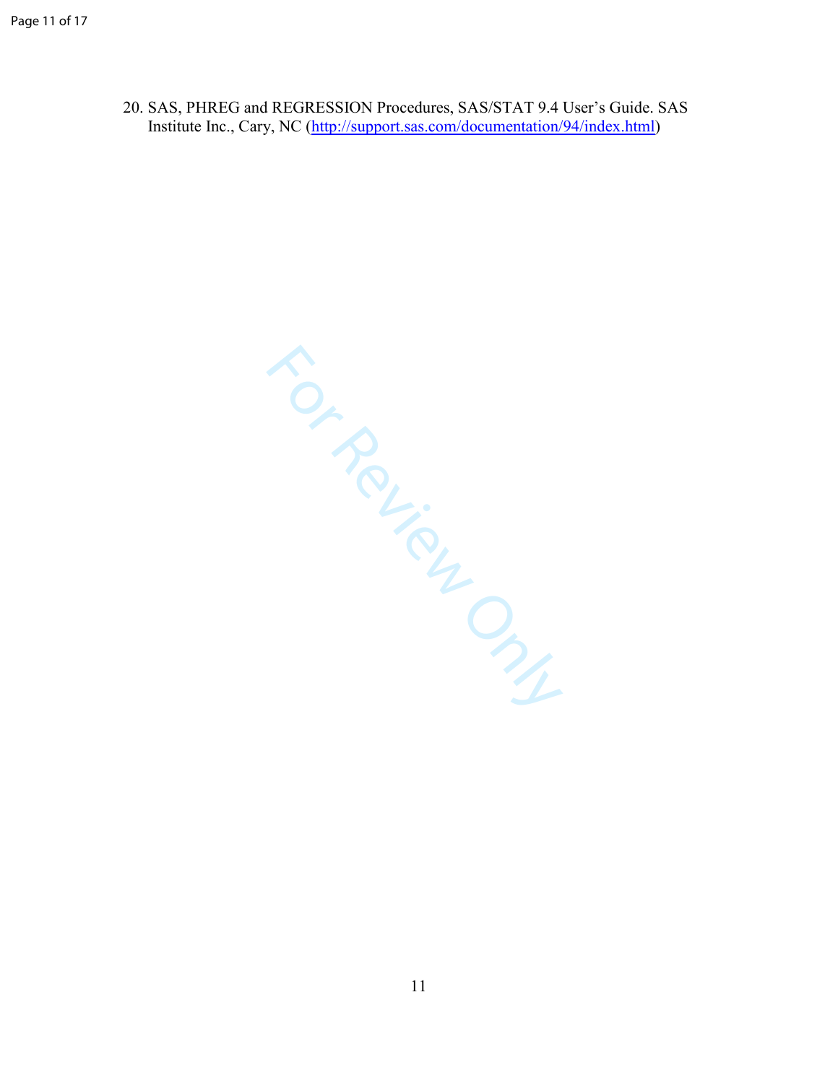20. SAS, PHREG and REGRESSION Procedures, SAS/STAT 9.4 User's Guide. SAS Institute Inc., Cary, NC (http://support.sas.com/documentation/94/index.html)

For Review Only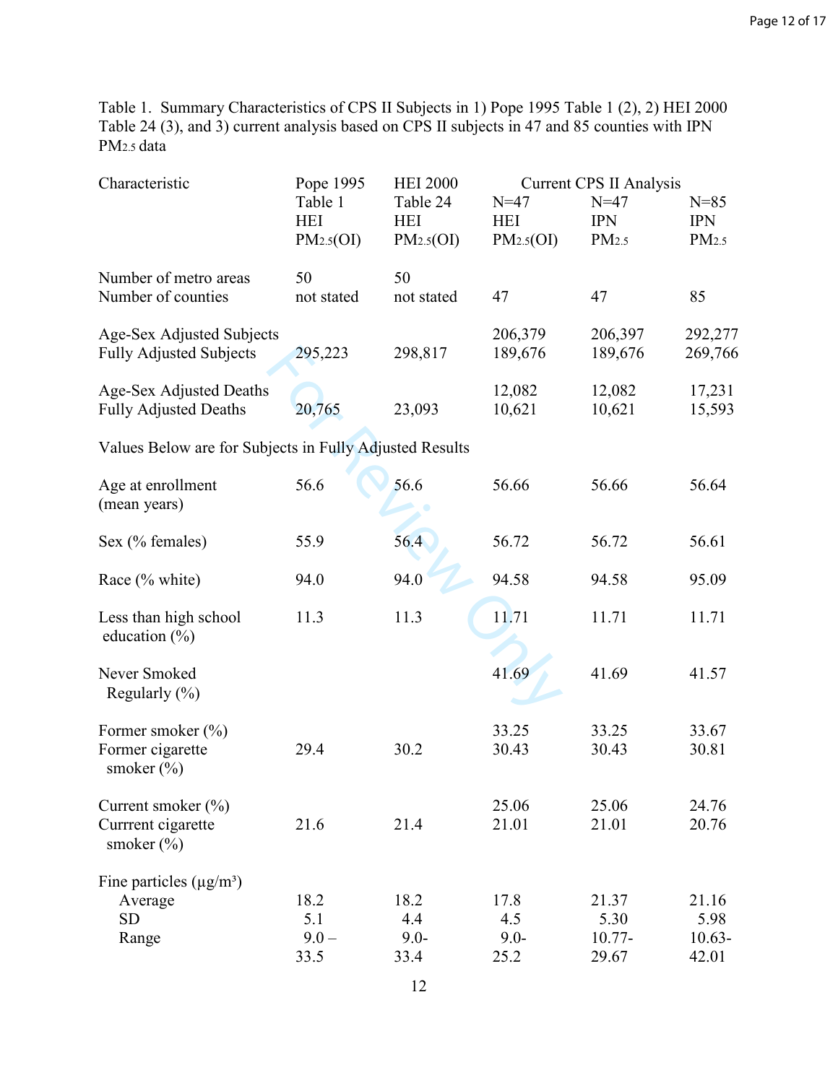Table 1. Summary Characteristics of CPS II Subjects in 1) Pope 1995 Table 1 (2), 2) HEI 2000 Table 24 (3), and 3) current analysis based on CPS II subjects in 47 and 85 counties with IPN PM2.5 data

| Characteristic                                                 | Pope 1995                          | <b>HEI 2000</b>                     |                                   | <b>Current CPS II Analysis</b>      |                                     |
|----------------------------------------------------------------|------------------------------------|-------------------------------------|-----------------------------------|-------------------------------------|-------------------------------------|
|                                                                | Table 1<br><b>HEI</b><br>PM2.5(OI) | Table 24<br><b>HEI</b><br>PM2.5(OI) | $N=47$<br><b>HEI</b><br>PM2.5(OI) | $N=47$<br><b>IPN</b><br>PM2.5       | $N = 85$<br><b>IPN</b><br>PM2.5     |
| Number of metro areas<br>Number of counties                    | 50<br>not stated                   | 50<br>not stated                    | 47                                | 47                                  | 85                                  |
| Age-Sex Adjusted Subjects<br><b>Fully Adjusted Subjects</b>    | 295,223                            | 298,817                             | 206,379<br>189,676                | 206,397<br>189,676                  | 292,277<br>269,766                  |
| Age-Sex Adjusted Deaths<br><b>Fully Adjusted Deaths</b>        | 20,765                             | 23,093                              | 12,082<br>10,621                  | 12,082<br>10,621                    | 17,231<br>15,593                    |
| Values Below are for Subjects in Fully Adjusted Results        |                                    |                                     |                                   |                                     |                                     |
| Age at enrollment<br>(mean years)                              | 56.6                               | 56.6                                | 56.66                             | 56.66                               | 56.64                               |
| Sex (% females)                                                | 55.9                               | 56.4                                | 56.72                             | 56.72                               | 56.61                               |
| Race (% white)                                                 | 94.0                               | 94.0                                | 94.58                             | 94.58                               | 95.09                               |
| Less than high school<br>education $(\% )$                     | 11.3                               | 11.3                                | 11.71                             | 11.71                               | 11.71                               |
| Never Smoked<br>Regularly $(\% )$                              |                                    |                                     | 41.69                             | 41.69                               | 41.57                               |
| Former smoker $(\% )$<br>Former cigarette<br>smoker $(\% )$    | 29.4                               | 30.2                                | 33.25<br>30.43                    | 33.25<br>30.43                      | 33.67<br>30.81                      |
| Current smoker $(\% )$<br>Currrent cigarette<br>smoker $(\% )$ | 21.6                               | 21.4                                | 25.06<br>21.01                    | 25.06<br>21.01                      | 24.76<br>20.76                      |
| Fine particles $(\mu g/m^3)$<br>Average<br><b>SD</b><br>Range  | 18.2<br>5.1<br>$9.0 -$<br>33.5     | 18.2<br>4.4<br>$9.0 -$<br>33.4      | 17.8<br>4.5<br>$9.0 -$<br>25.2    | 21.37<br>5.30<br>$10.77 -$<br>29.67 | 21.16<br>5.98<br>$10.63 -$<br>42.01 |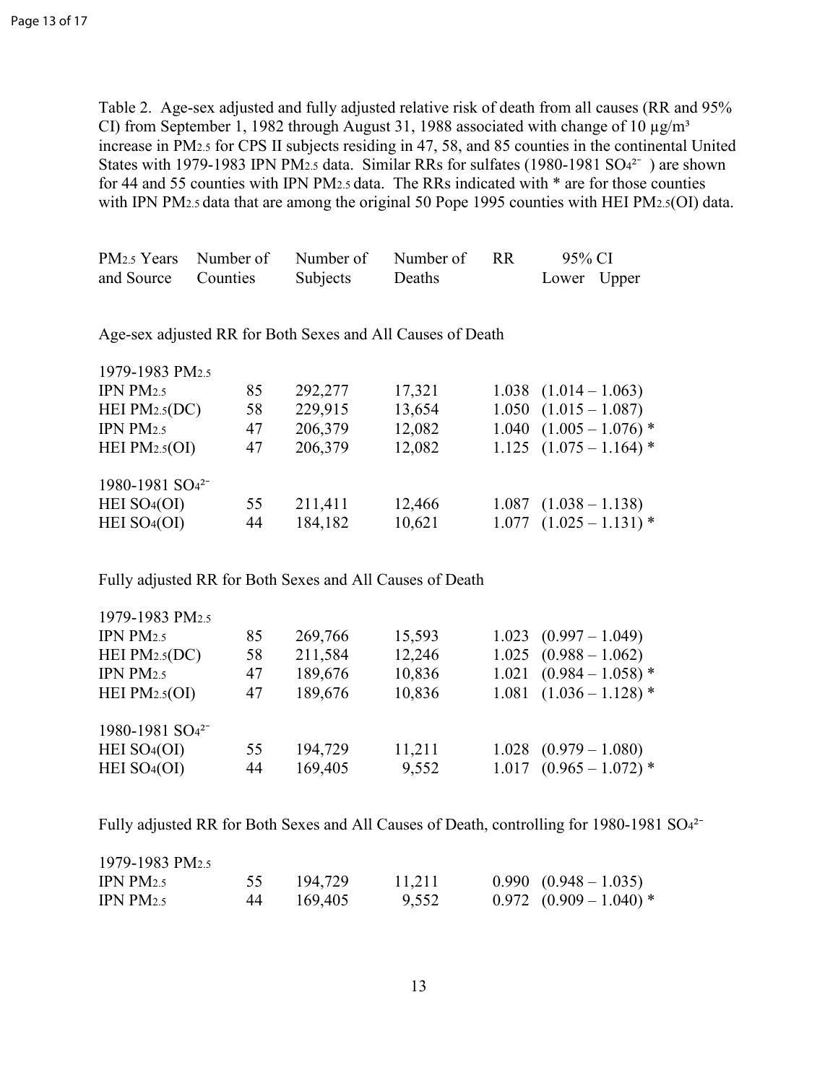Table 2. Age-sex adjusted and fully adjusted relative risk of death from all causes (RR and 95% CI) from September 1, 1982 through August 31, 1988 associated with change of 10  $\mu$ g/m<sup>3</sup> increase in PM<sub>2.5</sub> for CPS II subjects residing in 47, 58, and 85 counties in the continental United States with 1979-1983 IPN PM<sub>2.5</sub> data. Similar RRs for sulfates (1980-1981 SO $4^{2-}$ ) are shown for 44 and 55 counties with IPN PM2.5 data. The RRs indicated with \* are for those counties with IPN PM2.5 data that are among the original 50 Pope 1995 counties with HEI PM2.5(OI) data.

|                     | PM <sub>2.5</sub> Years Number of Number of Number of RR |        | 95% CI      |  |
|---------------------|----------------------------------------------------------|--------|-------------|--|
| and Source Counties | Subjects                                                 | Deaths | Lower Upper |  |

Age-sex adjusted RR for Both Sexes and All Causes of Death

| 1979-1983 PM <sub>2.5</sub>                              |    |         |        |       |                             |
|----------------------------------------------------------|----|---------|--------|-------|-----------------------------|
| IPN $PM2.5$                                              | 85 | 292,277 | 17,321 |       | $1.038$ $(1.014 - 1.063)$   |
| HEI $PM2.5(DC)$                                          | 58 | 229,915 | 13,654 |       | $1.050$ $(1.015 - 1.087)$   |
| IPN PM2.5                                                | 47 | 206,379 | 12,082 |       | $1.040$ $(1.005 - 1.076)$ * |
| HEI $PM2.5(OI)$                                          | 47 | 206,379 | 12,082 |       | $1.125$ $(1.075 - 1.164)$ * |
| 1980-1981 SO <sub>4</sub> <sup>2-</sup>                  |    |         |        |       |                             |
| HEI SO <sub>4</sub> (OI)                                 | 55 | 211,411 | 12,466 |       | $1.087$ $(1.038 - 1.138)$   |
| HEI SO <sub>4</sub> (OI)                                 | 44 | 184,182 | 10,621 |       | $1.077$ $(1.025 - 1.131)$ * |
| Fully adjusted RR for Both Sexes and All Causes of Death |    |         |        |       |                             |
| 1979-1983 PM2.5                                          |    |         |        |       |                             |
| IPN $PM2.5$                                              | 85 | 269,766 | 15,593 | 1.023 | $(0.997 - 1.049)$           |
| HEI $PM2.5(DC)$                                          | 58 | 211,584 | 12,246 |       | $1.025$ $(0.988 - 1.062)$   |
| IPN $PM2.5$                                              | 47 | 189,676 | 10,836 |       | $1.021$ $(0.984 - 1.058)$ * |
| HEI $PM2.5(OI)$                                          | 47 | 189,676 | 10,836 | 1.081 | $(1.036 - 1.128)$ *         |
|                                                          |    |         |        |       |                             |

| 1979-1983 PM2.5                         |    |         |        |                             |
|-----------------------------------------|----|---------|--------|-----------------------------|
| IPN $PM2.5$                             | 85 | 269,766 | 15,593 | $1.023$ $(0.997 - 1.049)$   |
| HEI $PM_{2.5}(DC)$                      | 58 | 211,584 | 12,246 | $1.025$ $(0.988 - 1.062)$   |
| IPN $PM2.5$                             | 47 | 189,676 | 10,836 | $1.021$ $(0.984 - 1.058)$ * |
| HEI $PM2.5(OI)$                         | 47 | 189,676 | 10,836 | $1.081$ $(1.036 - 1.128)$ * |
| 1980-1981 SO <sub>4</sub> <sup>2-</sup> |    |         |        |                             |
| HEI SO <sub>4</sub> (OI)                | 55 | 194,729 | 11,211 | $1.028$ $(0.979 - 1.080)$   |
| HEI $SO4(OI)$                           | 44 | 169,405 | 9,552  | $1.017$ $(0.965 - 1.072)$ * |
|                                         |    |         |        |                             |

Fully adjusted RR for Both Sexes and All Causes of Death, controlling for 1980-1981 SO<sub>42</sub>-

| 1979-1983 PM <sub>2.5</sub> |    |         |        |                             |
|-----------------------------|----|---------|--------|-----------------------------|
| IPN PM $2.5$                |    | 194.729 | 11,211 | $0.990 (0.948 - 1.035)$     |
| IPN $PM_{2.5}$              | 44 | 169.405 | 9.552  | $0.972$ $(0.909 - 1.040)$ * |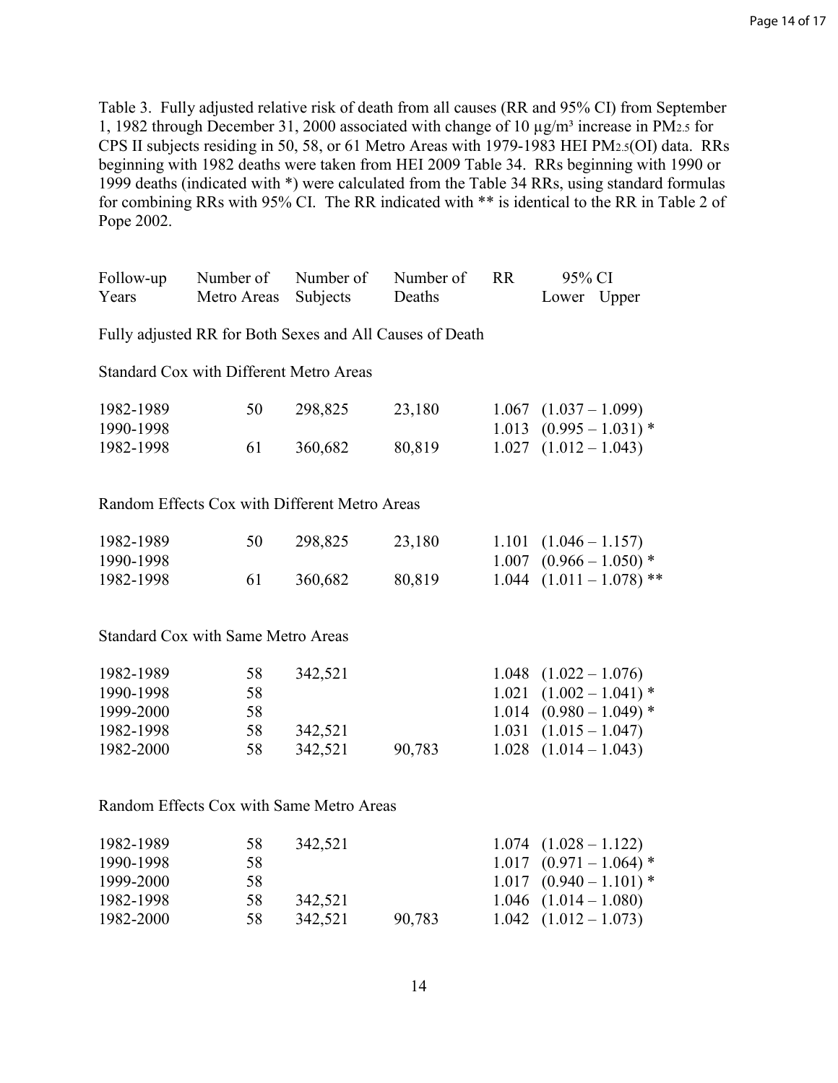Table 3. Fully adjusted relative risk of death from all causes (RR and 95% CI) from September 1, 1982 through December 31, 2000 associated with change of 10  $\mu$ g/m<sup>3</sup> increase in PM<sub>2.5</sub> for CPS II subjects residing in 50, 58, or 61 Metro Areas with 1979-1983 HEI PM2.5(OI) data. RRs beginning with 1982 deaths were taken from HEI 2009 Table 34. RRs beginning with 1990 or 1999 deaths (indicated with \*) were calculated from the Table 34 RRs, using standard formulas for combining RRs with 95% CI. The RR indicated with \*\* is identical to the RR in Table 2 of Pope 2002.

| Follow-up                                | Number of                                      | Number of | Number of                                                | <b>RR</b> | 95% CI                                                   |  |  |
|------------------------------------------|------------------------------------------------|-----------|----------------------------------------------------------|-----------|----------------------------------------------------------|--|--|
| Years                                    | Metro Areas                                    | Subjects  | Deaths                                                   |           | Lower Upper                                              |  |  |
|                                          |                                                |           | Fully adjusted RR for Both Sexes and All Causes of Death |           |                                                          |  |  |
|                                          | <b>Standard Cox with Different Metro Areas</b> |           |                                                          |           |                                                          |  |  |
| 1982-1989<br>1990-1998                   | 50                                             | 298,825   | 23,180                                                   |           | $1.067$ $(1.037 - 1.099)$<br>$1.013$ $(0.995 - 1.031)$ * |  |  |
| 1982-1998                                | 61                                             | 360,682   | 80,819                                                   |           | $1.027$ $(1.012 - 1.043)$                                |  |  |
|                                          | Random Effects Cox with Different Metro Areas  |           |                                                          |           |                                                          |  |  |
|                                          |                                                |           |                                                          |           |                                                          |  |  |
| 1982-1989                                | 50                                             | 298,825   | 23,180                                                   |           | $1.101 (1.046 - 1.157)$                                  |  |  |
| 1990-1998                                |                                                |           |                                                          | 1.007     | $(0.966 - 1.050)$ *                                      |  |  |
| 1982-1998                                | 61                                             | 360,682   | 80,819                                                   |           | $1.044$ $(1.011 - 1.078)$ **                             |  |  |
|                                          | <b>Standard Cox with Same Metro Areas</b>      |           |                                                          |           |                                                          |  |  |
| 1982-1989                                | 58                                             | 342,521   |                                                          | 1.048     | $(1.022 - 1.076)$                                        |  |  |
| 1990-1998                                | 58                                             |           |                                                          | 1.021     | $(1.002 - 1.041)$ *                                      |  |  |
| 1999-2000                                | 58                                             |           |                                                          |           | $1.014$ $(0.980 - 1.049)$ *                              |  |  |
| 1982-1998                                | 58                                             | 342,521   |                                                          | 1.031     | $(1.015 - 1.047)$                                        |  |  |
| 1982-2000                                | 58                                             | 342,521   | 90,783                                                   | 1.028     | $(1.014 - 1.043)$                                        |  |  |
| Random Effects Cox with Same Metro Areas |                                                |           |                                                          |           |                                                          |  |  |
| 1982-1989                                | 58                                             | 342,521   |                                                          | 1.074     | $(1.028 - 1.122)$                                        |  |  |
| 1990-1998                                | 58                                             |           |                                                          | 1.017     | $(0.971 - 1.064)$ *                                      |  |  |
| 1999-2000                                | 58                                             |           |                                                          | 1.017     | $(0.940 - 1.101)$ *                                      |  |  |
| 1982-1998                                | 58                                             | 342,521   |                                                          | 1.046     | $(1.014 - 1.080)$                                        |  |  |

1982-2000 58 342,521 90,783 1.042 (1.012 – 1.073)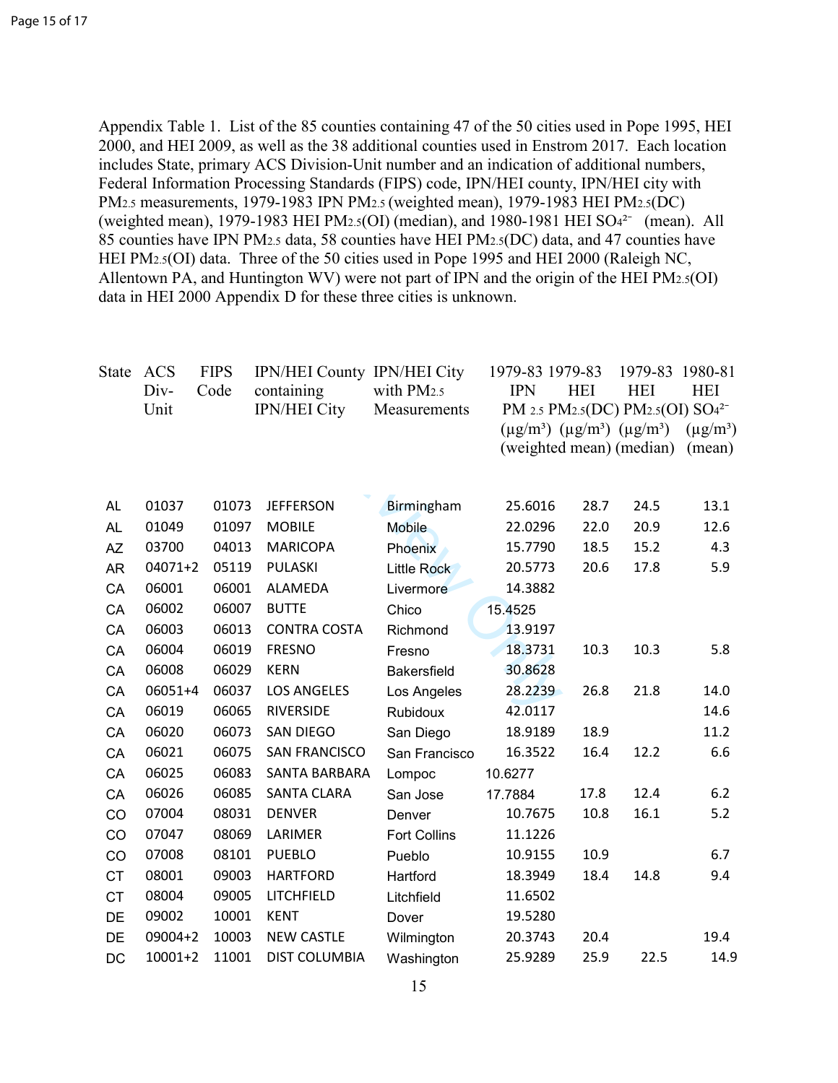Appendix Table 1. List of the 85 counties containing 47 of the 50 cities used in Pope 1995, HEI 2000, and HEI 2009, as well as the 38 additional counties used in Enstrom 2017. Each location includes State, primary ACS Division-Unit number and an indication of additional numbers, Federal Information Processing Standards (FIPS) code, IPN/HEI county, IPN/HEI city with PM2.5 measurements, 1979-1983 IPN PM2.5 (weighted mean), 1979-1983 HEI PM2.5(DC) (weighted mean), 1979-1983 HEI PM2.5(OI) (median), and 1980-1981 HEI SO $4^{2-}$  (mean). All 85 counties have IPN PM2.5 data, 58 counties have HEI PM2.5(DC) data, and 47 counties have HEI PM2.5(OI) data. Three of the 50 cities used in Pope 1995 and HEI 2000 (Raleigh NC, Allentown PA, and Huntington WV) were not part of IPN and the origin of the HEI PM2.5(OI) data in HEI 2000 Appendix D for these three cities is unknown.

| <b>State</b> | ACS<br>Div-<br>Unit | <b>FIPS</b><br>Code | <b>IPN/HEI County IPN/HEI City</b><br>containing<br><b>IPN/HEI City</b> | with PM <sub>2.5</sub><br>Measurements | 1979-83 1979-83<br><b>IPN</b><br>PM 2.5 PM2.5(DC) PM2.5(OI) SO4 <sup>2-</sup><br>$(\mu g/m^3)$ $(\mu g/m^3)$ $(\mu g/m^3)$<br>(weighted mean) (median) | <b>HEI</b> | 1979-83<br><b>HEI</b> | 1980-81<br><b>HEI</b><br>$(\mu g/m^3)$<br>(mean) |
|--------------|---------------------|---------------------|-------------------------------------------------------------------------|----------------------------------------|--------------------------------------------------------------------------------------------------------------------------------------------------------|------------|-----------------------|--------------------------------------------------|
| AL           | 01037               | 01073               | <b>JEFFERSON</b>                                                        | Birmingham                             | 25.6016                                                                                                                                                | 28.7       | 24.5                  | 13.1                                             |
| <b>AL</b>    | 01049               | 01097               | <b>MOBILE</b>                                                           | <b>Mobile</b>                          | 22.0296                                                                                                                                                | 22.0       | 20.9                  | 12.6                                             |
| <b>AZ</b>    | 03700               | 04013               | <b>MARICOPA</b>                                                         | Phoenix                                | 15.7790                                                                                                                                                | 18.5       | 15.2                  | 4.3                                              |
| <b>AR</b>    | 04071+2             | 05119               | PULASKI                                                                 | <b>Little Rock</b>                     | 20.5773                                                                                                                                                | 20.6       | 17.8                  | 5.9                                              |
| CA           | 06001               | 06001               | <b>ALAMEDA</b>                                                          | Livermore                              | 14.3882                                                                                                                                                |            |                       |                                                  |
| CA           | 06002               | 06007               | <b>BUTTE</b>                                                            | Chico                                  | 15.4525                                                                                                                                                |            |                       |                                                  |
| CA           | 06003               | 06013               | <b>CONTRA COSTA</b>                                                     | Richmond                               | 13.9197                                                                                                                                                |            |                       |                                                  |
| CA           | 06004               | 06019               | <b>FRESNO</b>                                                           | Fresno                                 | 18.3731                                                                                                                                                | 10.3       | 10.3                  | 5.8                                              |
| CA           | 06008               | 06029               | <b>KERN</b>                                                             | <b>Bakersfield</b>                     | 30.8628                                                                                                                                                |            |                       |                                                  |
| CA           | 06051+4             | 06037               | <b>LOS ANGELES</b>                                                      | Los Angeles                            | 28.2239                                                                                                                                                | 26.8       | 21.8                  | 14.0                                             |
| CA           | 06019               | 06065               | <b>RIVERSIDE</b>                                                        | Rubidoux                               | 42.0117                                                                                                                                                |            |                       | 14.6                                             |
| CA           | 06020               | 06073               | <b>SAN DIEGO</b>                                                        | San Diego                              | 18.9189                                                                                                                                                | 18.9       |                       | 11.2                                             |
| CA           | 06021               | 06075               | <b>SAN FRANCISCO</b>                                                    | San Francisco                          | 16.3522                                                                                                                                                | 16.4       | 12.2                  | 6.6                                              |
| CA           | 06025               | 06083               | SANTA BARBARA                                                           | Lompoc                                 | 10.6277                                                                                                                                                |            |                       |                                                  |
| CA           | 06026               | 06085               | <b>SANTA CLARA</b>                                                      | San Jose                               | 17.7884                                                                                                                                                | 17.8       | 12.4                  | 6.2                                              |
| CO           | 07004               | 08031               | <b>DENVER</b>                                                           | Denver                                 | 10.7675                                                                                                                                                | 10.8       | 16.1                  | 5.2                                              |
| CO           | 07047               | 08069               | LARIMER                                                                 | <b>Fort Collins</b>                    | 11.1226                                                                                                                                                |            |                       |                                                  |
| CO           | 07008               | 08101               | <b>PUEBLO</b>                                                           | Pueblo                                 | 10.9155                                                                                                                                                | 10.9       |                       | 6.7                                              |
| <b>CT</b>    | 08001               | 09003               | <b>HARTFORD</b>                                                         | Hartford                               | 18.3949                                                                                                                                                | 18.4       | 14.8                  | 9.4                                              |
| <b>CT</b>    | 08004               | 09005               | LITCHFIELD                                                              | Litchfield                             | 11.6502                                                                                                                                                |            |                       |                                                  |
| DE           | 09002               | 10001               | <b>KENT</b>                                                             | Dover                                  | 19.5280                                                                                                                                                |            |                       |                                                  |
| DE           | 09004+2             | 10003               | <b>NEW CASTLE</b>                                                       | Wilmington                             | 20.3743                                                                                                                                                | 20.4       |                       | 19.4                                             |
| DC           | $10001 + 2$         | 11001               | <b>DIST COLUMBIA</b>                                                    | Washington                             | 25.9289                                                                                                                                                | 25.9       | 22.5                  | 14.9                                             |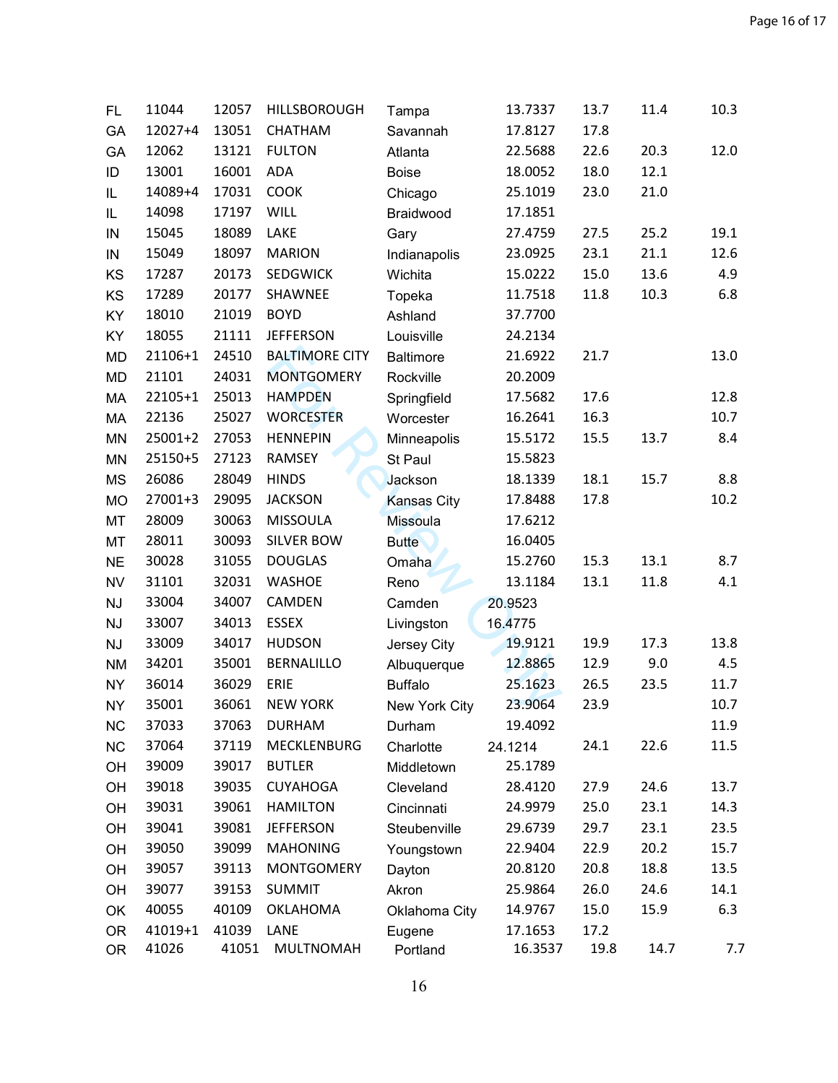| FL.       | 11044   | 12057 | HILLSBOROUGH          | Tampa              | 13.7337 | 13.7 | 11.4 | 10.3 |
|-----------|---------|-------|-----------------------|--------------------|---------|------|------|------|
| GA        | 12027+4 | 13051 | <b>CHATHAM</b>        | Savannah           | 17.8127 | 17.8 |      |      |
| GA        | 12062   | 13121 | <b>FULTON</b>         | Atlanta            | 22.5688 | 22.6 | 20.3 | 12.0 |
| ID        | 13001   | 16001 | <b>ADA</b>            | <b>Boise</b>       | 18.0052 | 18.0 | 12.1 |      |
| IL        | 14089+4 | 17031 | COOK                  | Chicago            | 25.1019 | 23.0 | 21.0 |      |
| IL        | 14098   | 17197 | WILL                  | Braidwood          | 17.1851 |      |      |      |
| IN        | 15045   | 18089 | LAKE                  | Gary               | 27.4759 | 27.5 | 25.2 | 19.1 |
| IN        | 15049   | 18097 | <b>MARION</b>         | Indianapolis       | 23.0925 | 23.1 | 21.1 | 12.6 |
| KS        | 17287   | 20173 | <b>SEDGWICK</b>       | Wichita            | 15.0222 | 15.0 | 13.6 | 4.9  |
| KS        | 17289   | 20177 | SHAWNEE               | Topeka             | 11.7518 | 11.8 | 10.3 | 6.8  |
| KY        | 18010   | 21019 | <b>BOYD</b>           | Ashland            | 37.7700 |      |      |      |
| KY        | 18055   | 21111 | <b>JEFFERSON</b>      | Louisville         | 24.2134 |      |      |      |
| <b>MD</b> | 21106+1 | 24510 | <b>BALTIMORE CITY</b> | <b>Baltimore</b>   | 21.6922 | 21.7 |      | 13.0 |
| <b>MD</b> | 21101   | 24031 | <b>MONTGOMERY</b>     | Rockville          | 20.2009 |      |      |      |
| MA        | 22105+1 | 25013 | <b>HAMPDEN</b>        | Springfield        | 17.5682 | 17.6 |      | 12.8 |
| MA        | 22136   | 25027 | <b>WORCESTER</b>      | Worcester          | 16.2641 | 16.3 |      | 10.7 |
| MN        | 25001+2 | 27053 | <b>HENNEPIN</b>       | Minneapolis        | 15.5172 | 15.5 | 13.7 | 8.4  |
| <b>MN</b> | 25150+5 | 27123 | RAMSEY                | St Paul            | 15.5823 |      |      |      |
| <b>MS</b> | 26086   | 28049 | <b>HINDS</b>          | Jackson            | 18.1339 | 18.1 | 15.7 | 8.8  |
| <b>MO</b> | 27001+3 | 29095 | <b>JACKSON</b>        | <b>Kansas City</b> | 17.8488 | 17.8 |      | 10.2 |
| MT        | 28009   | 30063 | <b>MISSOULA</b>       | Missoula           | 17.6212 |      |      |      |
| MT        | 28011   | 30093 | <b>SILVER BOW</b>     | <b>Butte</b>       | 16.0405 |      |      |      |
| <b>NE</b> | 30028   | 31055 | <b>DOUGLAS</b>        | Omaha              | 15.2760 | 15.3 | 13.1 | 8.7  |
| <b>NV</b> | 31101   | 32031 | <b>WASHOE</b>         | Reno               | 13.1184 | 13.1 | 11.8 | 4.1  |
| <b>NJ</b> | 33004   | 34007 | CAMDEN                | Camden             | 20.9523 |      |      |      |
| <b>NJ</b> | 33007   | 34013 | <b>ESSEX</b>          | Livingston         | 16.4775 |      |      |      |
| <b>NJ</b> | 33009   | 34017 | <b>HUDSON</b>         | Jersey City        | 19.9121 | 19.9 | 17.3 | 13.8 |
| <b>NM</b> | 34201   | 35001 | <b>BERNALILLO</b>     | Albuquerque        | 12.8865 | 12.9 | 9.0  | 4.5  |
| <b>NY</b> | 36014   | 36029 | ERIE                  | <b>Buffalo</b>     | 25.1623 | 26.5 | 23.5 | 11.7 |
| <b>NY</b> | 35001   | 36061 | <b>NEW YORK</b>       | New York City      | 23.9064 | 23.9 |      | 10.7 |
| <b>NC</b> | 37033   | 37063 | <b>DURHAM</b>         | Durham             | 19.4092 |      |      | 11.9 |
| <b>NC</b> | 37064   | 37119 | MECKLENBURG           | Charlotte          | 24.1214 | 24.1 | 22.6 | 11.5 |
| OH        | 39009   | 39017 | <b>BUTLER</b>         | Middletown         | 25.1789 |      |      |      |
| OH        | 39018   | 39035 | <b>CUYAHOGA</b>       | Cleveland          | 28.4120 | 27.9 | 24.6 | 13.7 |
| OH        | 39031   | 39061 | <b>HAMILTON</b>       | Cincinnati         | 24.9979 | 25.0 | 23.1 | 14.3 |
| OH        | 39041   | 39081 | <b>JEFFERSON</b>      | Steubenville       | 29.6739 | 29.7 | 23.1 | 23.5 |
| OH        | 39050   | 39099 | <b>MAHONING</b>       | Youngstown         | 22.9404 | 22.9 | 20.2 | 15.7 |
| OH        | 39057   | 39113 | <b>MONTGOMERY</b>     | Dayton             | 20.8120 | 20.8 | 18.8 | 13.5 |
| OH        | 39077   | 39153 | <b>SUMMIT</b>         | Akron              | 25.9864 | 26.0 | 24.6 | 14.1 |
| OK        | 40055   | 40109 | <b>OKLAHOMA</b>       | Oklahoma City      | 14.9767 | 15.0 | 15.9 | 6.3  |
| <b>OR</b> | 41019+1 | 41039 | LANE                  | Eugene             | 17.1653 | 17.2 |      |      |
| <b>OR</b> | 41026   | 41051 | MULTNOMAH             | Portland           | 16.3537 | 19.8 | 14.7 | 7.7  |